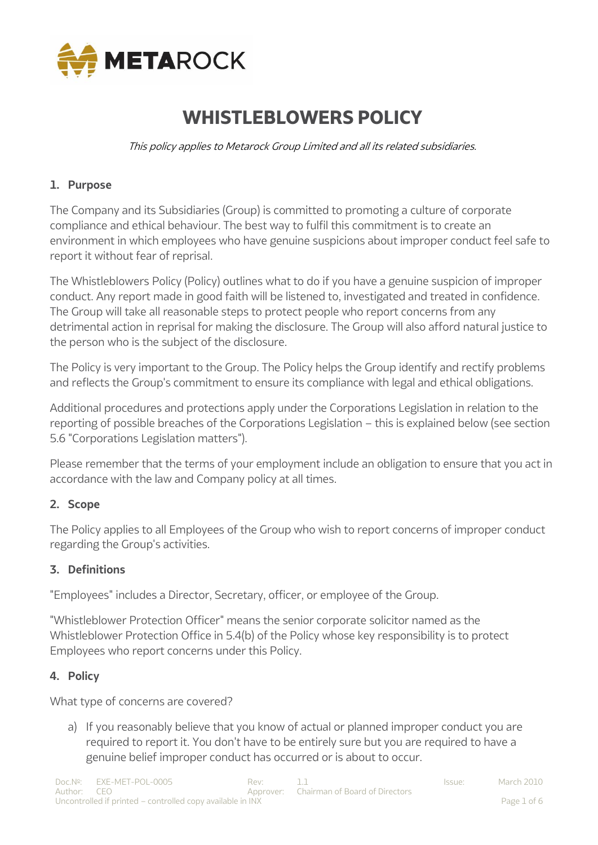

# **WHISTLEBLOWERS POLICY**

This policy applies to Metarock Group Limited and all its related subsidiaries.

#### **1. Purpose**

The Company and its Subsidiaries (Group) is committed to promoting a culture of corporate compliance and ethical behaviour. The best way to fulfil this commitment is to create an environment in which employees who have genuine suspicions about improper conduct feel safe to report it without fear of reprisal.

The Whistleblowers Policy (Policy) outlines what to do if you have a genuine suspicion of improper conduct. Any report made in good faith will be listened to, investigated and treated in confidence. The Group will take all reasonable steps to protect people who report concerns from any detrimental action in reprisal for making the disclosure. The Group will also afford natural justice to the person who is the subject of the disclosure.

The Policy is very important to the Group. The Policy helps the Group identify and rectify problems and reflects the Group's commitment to ensure its compliance with legal and ethical obligations.

Additional procedures and protections apply under the Corporations Legislation in relation to the reporting of possible breaches of the Corporations Legislation – this is explained below (see section 5.6 "Corporations Legislation matters").

Please remember that the terms of your employment include an obligation to ensure that you act in accordance with the law and Company policy at all times.

#### **2. Scope**

The Policy applies to all Employees of the Group who wish to report concerns of improper conduct regarding the Group's activities.

#### **3. Definitions**

"Employees" includes a Director, Secretary, officer, or employee of the Group.

"Whistleblower Protection Officer" means the senior corporate solicitor named as the Whistleblower Protection Office in 5.4(b) of the Policy whose key responsibility is to protect Employees who report concerns under this Policy.

#### **4. Policy**

What type of concerns are covered?

a) If you reasonably believe that you know of actual or planned improper conduct you are required to report it. You don't have to be entirely sure but you are required to have a genuine belief improper conduct has occurred or is about to occur.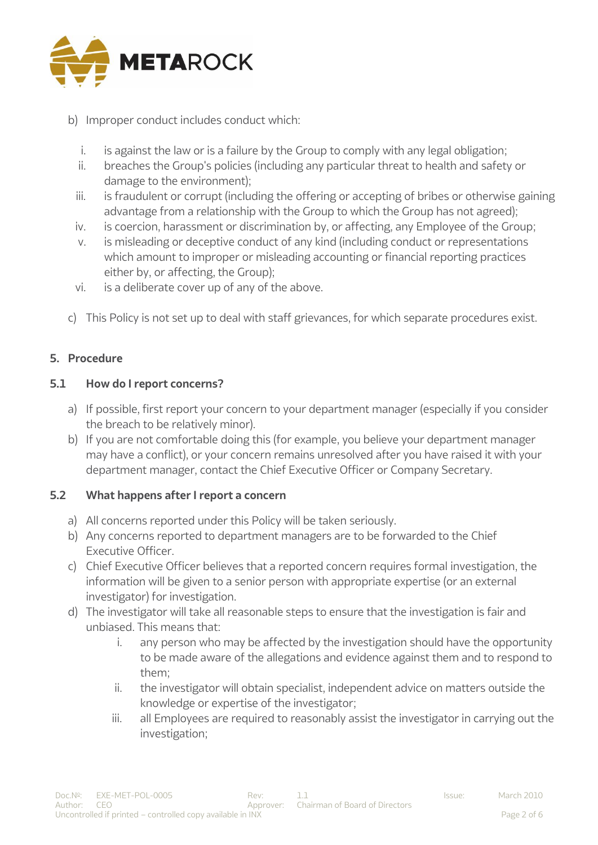

- b) Improper conduct includes conduct which:
	- i. is against the law or is a failure by the Group to comply with any legal obligation;
	- ii. breaches the Group's policies (including any particular threat to health and safety or damage to the environment);
	- iii. is fraudulent or corrupt (including the offering or accepting of bribes or otherwise gaining advantage from a relationship with the Group to which the Group has not agreed);
	- iv. is coercion, harassment or discrimination by, or affecting, any Employee of the Group;
	- v. is misleading or deceptive conduct of any kind (including conduct or representations which amount to improper or misleading accounting or financial reporting practices either by, or affecting, the Group);
	- vi. is a deliberate cover up of any of the above.
- c) This Policy is not set up to deal with staff grievances, for which separate procedures exist.

#### **5. Procedure**

#### **5.1 How do I report concerns?**

- a) If possible, first report your concern to your department manager (especially if you consider the breach to be relatively minor).
- b) If you are not comfortable doing this (for example, you believe your department manager may have a conflict), or your concern remains unresolved after you have raised it with your department manager, contact the Chief Executive Officer or Company Secretary.

#### **5.2 What happens after I report a concern**

- a) All concerns reported under this Policy will be taken seriously.
- b) Any concerns reported to department managers are to be forwarded to the Chief Executive Officer.
- c) Chief Executive Officer believes that a reported concern requires formal investigation, the information will be given to a senior person with appropriate expertise (or an external investigator) for investigation.
- d) The investigator will take all reasonable steps to ensure that the investigation is fair and unbiased. This means that:
	- i. any person who may be affected by the investigation should have the opportunity to be made aware of the allegations and evidence against them and to respond to them;
	- ii. the investigator will obtain specialist, independent advice on matters outside the knowledge or expertise of the investigator;
	- iii. all Employees are required to reasonably assist the investigator in carrying out the investigation;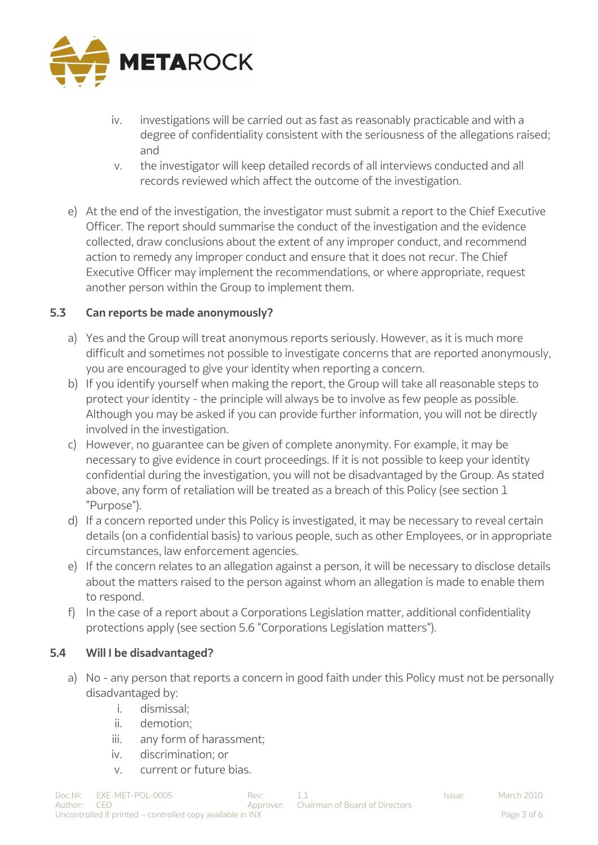

- iv. investigations will be carried out as fast as reasonably practicable and with a degree of confidentiality consistent with the seriousness of the allegations raised; and
- v. the investigator will keep detailed records of all interviews conducted and all records reviewed which affect the outcome of the investigation.
- e) At the end of the investigation, the investigator must submit a report to the Chief Executive Officer. The report should summarise the conduct of the investigation and the evidence collected, draw conclusions about the extent of any improper conduct, and recommend action to remedy any improper conduct and ensure that it does not recur. The Chief Executive Officer may implement the recommendations, or where appropriate, request another person within the Group to implement them.

## **5.3 Can reports be made anonymously?**

- a) Yes and the Group will treat anonymous reports seriously. However, as it is much more difficult and sometimes not possible to investigate concerns that are reported anonymously, you are encouraged to give your identity when reporting a concern.
- b) If you identify yourself when making the report, the Group will take all reasonable steps to protect your identity - the principle will always be to involve as few people as possible. Although you may be asked if you can provide further information, you will not be directly involved in the investigation.
- c) However, no guarantee can be given of complete anonymity. For example, it may be necessary to give evidence in court proceedings. If it is not possible to keep your identity confidential during the investigation, you will not be disadvantaged by the Group. As stated above, any form of retaliation will be treated as a breach of this Policy (see section 1 "Purpose").
- d) If a concern reported under this Policy is investigated, it may be necessary to reveal certain details (on a confidential basis) to various people, such as other Employees, or in appropriate circumstances, law enforcement agencies.
- e) If the concern relates to an allegation against a person, it will be necessary to disclose details about the matters raised to the person against whom an allegation is made to enable them to respond.
- f) In the case of a report about a Corporations Legislation matter, additional confidentiality protections apply (see section 5.6 "Corporations Legislation matters").

#### **5.4 Will I be disadvantaged?**

- a) No any person that reports a concern in good faith under this Policy must not be personally disadvantaged by:
	- i. dismissal;
	- ii. demotion;
	- iii. any form of harassment;
	- iv. discrimination; or
	- v. current or future bias.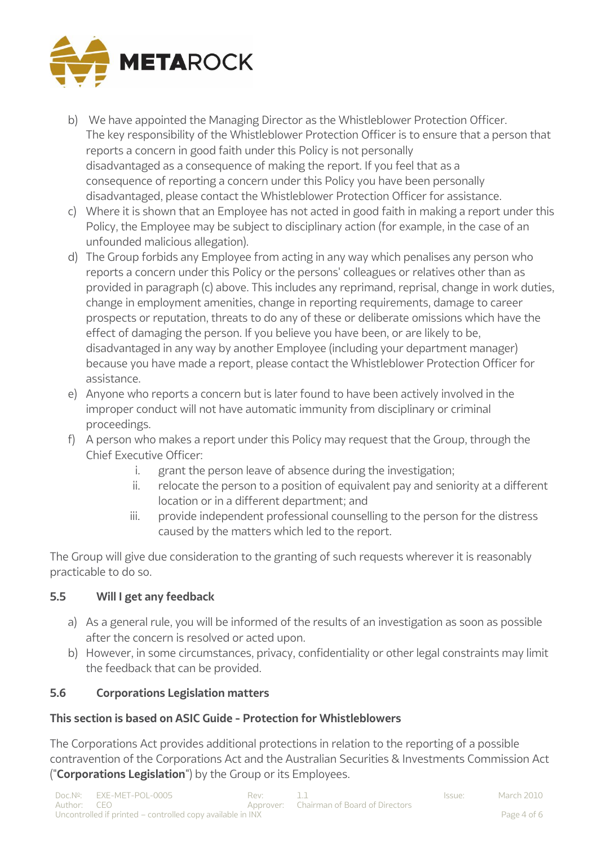

- b) We have appointed the Managing Director as the Whistleblower Protection Officer. The key responsibility of the Whistleblower Protection Officer is to ensure that a person that reports a concern in good faith under this Policy is not personally disadvantaged as a consequence of making the report. If you feel that as a consequence of reporting a concern under this Policy you have been personally disadvantaged, please contact the Whistleblower Protection Officer for assistance.
- c) Where it is shown that an Employee has not acted in good faith in making a report under this Policy, the Employee may be subject to disciplinary action (for example, in the case of an unfounded malicious allegation).
- d) The Group forbids any Employee from acting in any way which penalises any person who reports a concern under this Policy or the persons' colleagues or relatives other than as provided in paragraph (c) above. This includes any reprimand, reprisal, change in work duties, change in employment amenities, change in reporting requirements, damage to career prospects or reputation, threats to do any of these or deliberate omissions which have the effect of damaging the person. If you believe you have been, or are likely to be, disadvantaged in any way by another Employee (including your department manager) because you have made a report, please contact the Whistleblower Protection Officer for assistance.
- e) Anyone who reports a concern but is later found to have been actively involved in the improper conduct will not have automatic immunity from disciplinary or criminal proceedings.
- f) A person who makes a report under this Policy may request that the Group, through the Chief Executive Officer:
	- i. grant the person leave of absence during the investigation;
	- ii. relocate the person to a position of equivalent pay and seniority at a different location or in a different department; and
	- iii. provide independent professional counselling to the person for the distress caused by the matters which led to the report.

The Group will give due consideration to the granting of such requests wherever it is reasonably practicable to do so.

# **5.5 Will I get any feedback**

- a) As a general rule, you will be informed of the results of an investigation as soon as possible after the concern is resolved or acted upon.
- b) However, in some circumstances, privacy, confidentiality or other legal constraints may limit the feedback that can be provided.

# **5.6 Corporations Legislation matters**

# **This section is based on ASIC Guide - Protection for Whistleblowers**

The Corporations Act provides additional protections in relation to the reporting of a possible contravention of the Corporations Act and the Australian Securities & Investments Commission Act ("**Corporations Legislation**") by the Group or its Employees.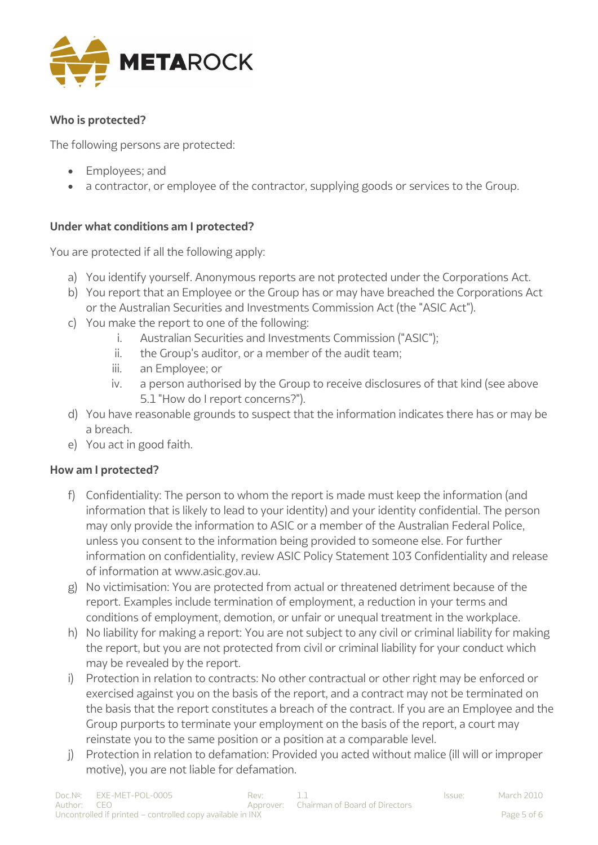

### **Who is protected?**

The following persons are protected:

- Employees; and
- a contractor, or employee of the contractor, supplying goods or services to the Group.

## **Under what conditions am I protected?**

You are protected if all the following apply:

- a) You identify yourself. Anonymous reports are not protected under the Corporations Act.
- b) You report that an Employee or the Group has or may have breached the Corporations Act or the Australian Securities and Investments Commission Act (the "ASIC Act").
- c) You make the report to one of the following:
	- i. Australian Securities and Investments Commission ("ASIC");
	- ii. the Group's auditor, or a member of the audit team;
	- iii. an Employee; or
	- iv. a person authorised by the Group to receive disclosures of that kind (see above 5.1 "How do I report concerns?").
- d) You have reasonable grounds to suspect that the information indicates there has or may be a breach.
- e) You act in good faith.

#### **How am I protected?**

- f) Confidentiality: The person to whom the report is made must keep the information (and information that is likely to lead to your identity) and your identity confidential. The person may only provide the information to ASIC or a member of the Australian Federal Police, unless you consent to the information being provided to someone else. For further information on confidentiality, review ASIC Policy Statement 103 Confidentiality and release of information at www.asic.gov.au.
- g) No victimisation: You are protected from actual or threatened detriment because of the report. Examples include termination of employment, a reduction in your terms and conditions of employment, demotion, or unfair or unequal treatment in the workplace.
- h) No liability for making a report: You are not subject to any civil or criminal liability for making the report, but you are not protected from civil or criminal liability for your conduct which may be revealed by the report.
- i) Protection in relation to contracts: No other contractual or other right may be enforced or exercised against you on the basis of the report, and a contract may not be terminated on the basis that the report constitutes a breach of the contract. If you are an Employee and the Group purports to terminate your employment on the basis of the report, a court may reinstate you to the same position or a position at a comparable level.
- j) Protection in relation to defamation: Provided you acted without malice (ill will or improper motive), you are not liable for defamation.